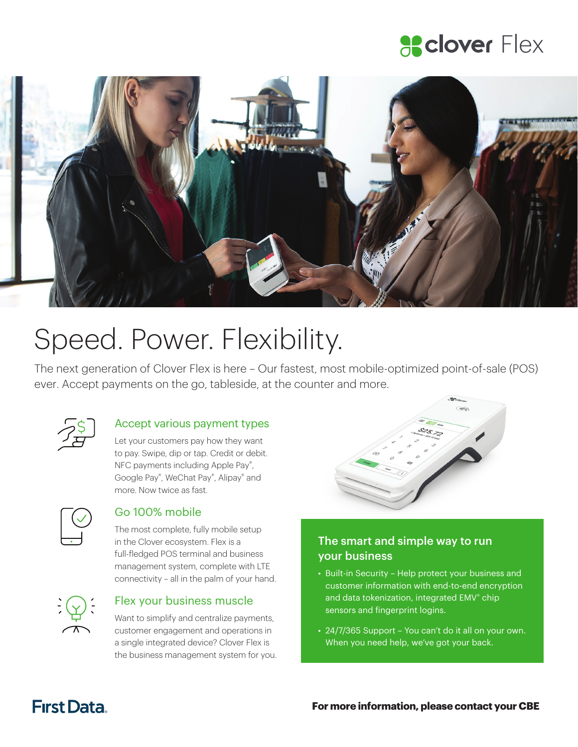### **a** clover Flex



# Speed. Power. Flexibility.

The next generation of Clover Flex is here – Our fastest, most mobile-optimized point-of-sale (POS) ever. Accept payments on the go, tableside, at the counter and more.



### Accept various payment types

Let your customers pay how they want to pay. Swipe, dip or tap. Credit or debit. NFC payments including Apple Pay®, Google Pay® , WeChat Pay® , Alipay® and more. Now twice as fast.



### Go 100% mobile

The most complete, fully mobile setup in the Clover ecosystem. Flex is a full-fledged POS terminal and business management system, complete with LTE connectivity – all in the palm of your hand.



#### Flex your business muscle

Want to simplify and centralize payments, customer engagement and operations in a single integrated device? Clover Flex is the business management system for you.



### The smart and simple way to run your business

- Built-in Security Help protect your business and customer information with end-to-end encryption and data tokenization, integrated EMV® chip sensors and fingerprint logins.
- 24/7/365 Support You can't do it all on your own. When you need help, we've got your back.